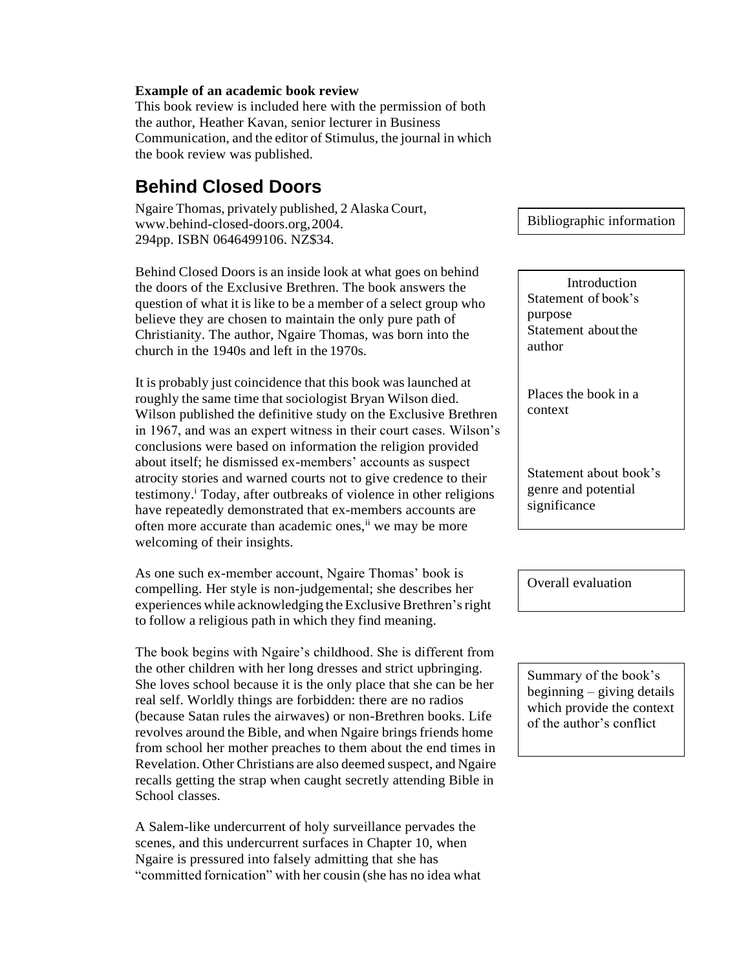## **Example of an academic book review**

This book review is included here with the permission of both the author, Heather Kavan, senior lecturer in Business Communication, and the editor of Stimulus, the journal in which the book review was published.

## **Behind Closed Doors**

Ngaire Thomas, privately published, 2 AlaskaCourt, [www.behind-closed-doors.org,2](http://www.behind-closed-doors.org/)004. 294pp. ISBN 0646499106. NZ\$34.

Behind Closed Doors is an inside look at what goes on behind the doors of the Exclusive Brethren. The book answers the question of what it is like to be a member of a select group who believe they are chosen to maintain the only pure path of Christianity. The author, Ngaire Thomas, was born into the church in the 1940s and left in the 1970s.

It is probably just coincidence that this book was launched at roughly the same time that sociologist Bryan Wilson died. Wilson published the definitive study on the Exclusive Brethren in 1967, and was an expert witness in their court cases. Wilson's conclusions were based on information the religion provided about itself; he dismissed ex-members' accounts as suspect atrocity stories and warned courts not to give credence to their testimony.<sup>i</sup> Today, after outbreaks of violence in other religions have repeatedly demonstrated that ex-members accounts are often more accurate than academic ones,<sup>ii</sup> we may be more welcoming of their insights.

As one such ex-member account, Ngaire Thomas' book is compelling. Her style is non-judgemental; she describes her experiences while acknowledging the Exclusive Brethren's right to follow a religious path in which they find meaning.

The book begins with Ngaire's childhood. She is different from the other children with her long dresses and strict upbringing. She loves school because it is the only place that she can be her real self. Worldly things are forbidden: there are no radios (because Satan rules the airwaves) or non-Brethren books. Life revolves around the Bible, and when Ngaire brings friends home from school her mother preaches to them about the end times in Revelation. Other Christians are also deemed suspect, and Ngaire recalls getting the strap when caught secretly attending Bible in School classes.

A Salem-like undercurrent of holy surveillance pervades the scenes, and this undercurrent surfaces in Chapter 10, when Ngaire is pressured into falsely admitting that she has "committed fornication" with her cousin (she has no idea what Bibliographic information

Introduction Statement of book's purpose Statement about the author

Places the book in a context

Statement about book's genre and potential significance

Overall evaluation

Summary of the book's beginning – giving details which provide the context of the author's conflict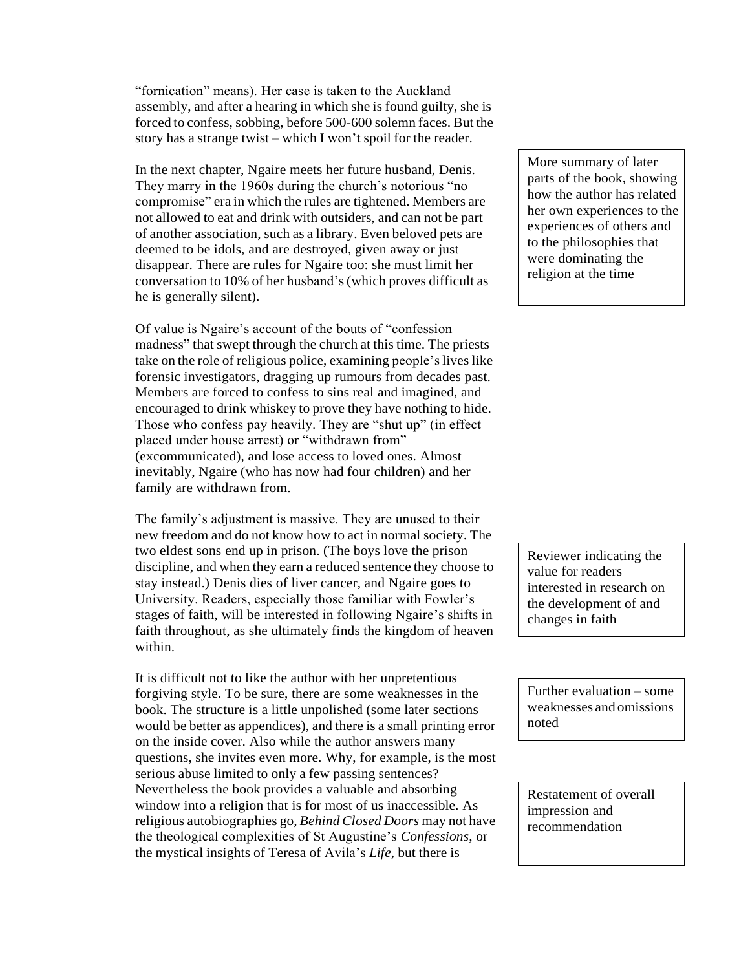"fornication" means). Her case is taken to the Auckland assembly, and after a hearing in which she is found guilty, she is forced to confess, sobbing, before 500-600 solemn faces. But the story has a strange twist – which I won't spoil for the reader.

In the next chapter, Ngaire meets her future husband, Denis. They marry in the 1960s during the church's notorious "no compromise" era in which the rules are tightened. Members are not allowed to eat and drink with outsiders, and can not be part of another association, such as a library. Even beloved pets are deemed to be idols, and are destroyed, given away or just disappear. There are rules for Ngaire too: she must limit her conversation to 10% of her husband's(which proves difficult as he is generally silent).

Of value is Ngaire's account of the bouts of "confession madness" that swept through the church at this time. The priests take on the role of religious police, examining people's lives like forensic investigators, dragging up rumours from decades past. Members are forced to confess to sins real and imagined, and encouraged to drink whiskey to prove they have nothing to hide. Those who confess pay heavily. They are "shut up" (in effect placed under house arrest) or "withdrawn from" (excommunicated), and lose access to loved ones. Almost inevitably, Ngaire (who has now had four children) and her family are withdrawn from.

The family's adjustment is massive. They are unused to their new freedom and do not know how to act in normal society. The two eldest sons end up in prison. (The boys love the prison discipline, and when they earn a reduced sentence they choose to stay instead.) Denis dies of liver cancer, and Ngaire goes to University. Readers, especially those familiar with Fowler's stages of faith, will be interested in following Ngaire's shifts in faith throughout, as she ultimately finds the kingdom of heaven within.

It is difficult not to like the author with her unpretentious forgiving style. To be sure, there are some weaknesses in the book. The structure is a little unpolished (some later sections would be better as appendices), and there is a small printing error on the inside cover. Also while the author answers many questions, she invites even more. Why, for example, is the most serious abuse limited to only a few passing sentences? Nevertheless the book provides a valuable and absorbing window into a religion that is for most of us inaccessible. As religious autobiographies go, *Behind Closed Doors* may not have the theological complexities of St Augustine's *Confessions*, or the mystical insights of Teresa of Avila's *Life*, but there is

More summary of later parts of the book, showing how the author has related her own experiences to the experiences of others and to the philosophies that were dominating the religion at the time

Reviewer indicating the value for readers interested in research on the development of and changes in faith

Further evaluation – some weaknesses and omissions noted

Restatement of overall impression and recommendation